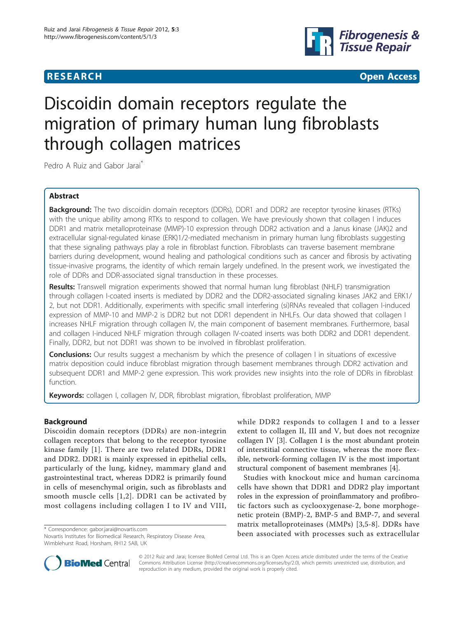

**RESEARCH CONSTRUCTION CONTROL** 

# Discoidin domain receptors regulate the migration of primary human lung fibroblasts through collagen matrices

Pedro A Ruiz and Gabor Jarai<sup>\*</sup>

# Abstract

Background: The two discoidin domain receptors (DDRs), DDR1 and DDR2 are receptor tyrosine kinases (RTKs) with the unique ability among RTKs to respond to collagen. We have previously shown that collagen I induces DDR1 and matrix metalloproteinase (MMP)-10 expression through DDR2 activation and a Janus kinase (JAK)2 and extracellular signal-regulated kinase (ERK)1/2-mediated mechanism in primary human lung fibroblasts suggesting that these signaling pathways play a role in fibroblast function. Fibroblasts can traverse basement membrane barriers during development, wound healing and pathological conditions such as cancer and fibrosis by activating tissue-invasive programs, the identity of which remain largely undefined. In the present work, we investigated the role of DDRs and DDR-associated signal transduction in these processes.

Results: Transwell migration experiments showed that normal human lung fibroblast (NHLF) transmigration through collagen I-coated inserts is mediated by DDR2 and the DDR2-associated signaling kinases JAK2 and ERK1/ 2, but not DDR1. Additionally, experiments with specific small interfering (si)RNAs revealed that collagen I-induced expression of MMP-10 and MMP-2 is DDR2 but not DDR1 dependent in NHLFs. Our data showed that collagen I increases NHLF migration through collagen IV, the main component of basement membranes. Furthermore, basal and collagen I-induced NHLF migration through collagen IV-coated inserts was both DDR2 and DDR1 dependent. Finally, DDR2, but not DDR1 was shown to be involved in fibroblast proliferation.

**Conclusions:** Our results suggest a mechanism by which the presence of collagen I in situations of excessive matrix deposition could induce fibroblast migration through basement membranes through DDR2 activation and subsequent DDR1 and MMP-2 gene expression. This work provides new insights into the role of DDRs in fibroblast function.

Keywords: collagen I, collagen IV, DDR, fibroblast migration, fibroblast proliferation, MMP

# Background

Discoidin domain receptors (DDRs) are non-integrin collagen receptors that belong to the receptor tyrosine kinase family [[1\]](#page-7-0). There are two related DDRs, DDR1 and DDR2. DDR1 is mainly expressed in epithelial cells, particularly of the lung, kidney, mammary gland and gastrointestinal tract, whereas DDR2 is primarily found in cells of mesenchymal origin, such as fibroblasts and smooth muscle cells [[1](#page-7-0),[2](#page-7-0)]. DDR1 can be activated by most collagens including collagen I to IV and VIII,

while DDR2 responds to collagen I and to a lesser extent to collagen II, III and V, but does not recognize collagen IV [\[3](#page-7-0)]. Collagen I is the most abundant protein of interstitial connective tissue, whereas the more flexible, network-forming collagen IV is the most important structural component of basement membranes [\[4](#page-7-0)].

Studies with knockout mice and human carcinoma cells have shown that DDR1 and DDR2 play important roles in the expression of proinflammatory and profibrotic factors such as cyclooxygenase-2, bone morphogenetic protein (BMP)-2, BMP-5 and BMP-7, and several matrix metalloproteinases (MMPs) [[3,5](#page-7-0)-[8\]](#page-7-0). DDRs have \* Correspondence: [gabor.jarai@novartis.com](mailto:gabor.jarai@novartis.com) **been** associated with processes such as extracellular \* Novartis Institutes for Biomedical Research Respiratory Disease Area



© 2012 Ruiz and Jarai; licensee BioMed Central Ltd. This is an Open Access article distributed under the terms of the Creative Commons Attribution License [\(http://creativecommons.org/licenses/by/2.0](http://creativecommons.org/licenses/by/2.0)), which permits unrestricted use, distribution, and reproduction in any medium, provided the original work is properly cited.

Novartis Institutes for Biomedical Research, Respiratory Disease Area, Wimblehurst Road, Horsham, RH12 5AB, UK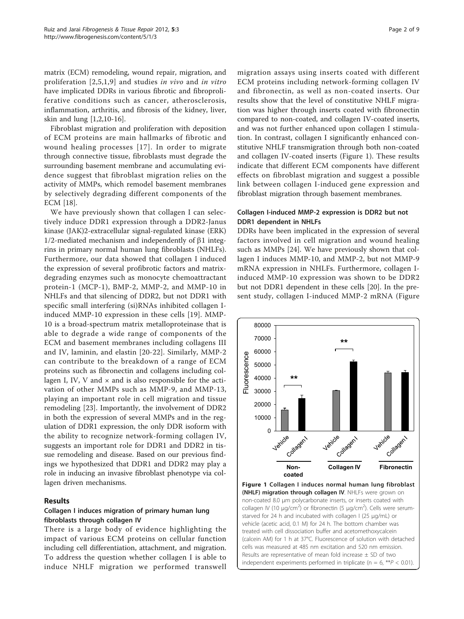matrix (ECM) remodeling, wound repair, migration, and proliferation [[2](#page-7-0),[5,1](#page-7-0),[9\]](#page-7-0) and studies in vivo and in vitro have implicated DDRs in various fibrotic and fibroproliferative conditions such as cancer, atherosclerosis, inflammation, arthritis, and fibrosis of the kidney, liver, skin and lung [\[1,2,10-16](#page-7-0)].

Fibroblast migration and proliferation with deposition of ECM proteins are main hallmarks of fibrotic and wound healing processes [[17\]](#page-7-0). In order to migrate through connective tissue, fibroblasts must degrade the surrounding basement membrane and accumulating evidence suggest that fibroblast migration relies on the activity of MMPs, which remodel basement membranes by selectively degrading different components of the ECM [\[18\]](#page-7-0).

We have previously shown that collagen I can selectively induce DDR1 expression through a DDR2-Janus kinase (JAK)2-extracellular signal-regulated kinase (ERK)  $1/2$ -mediated mechanism and independently of  $\beta$ 1 integrins in primary normal human lung fibroblasts (NHLFs). Furthermore, our data showed that collagen I induced the expression of several profibrotic factors and matrixdegrading enzymes such as monocyte chemoattractant protein-1 (MCP-1), BMP-2, MMP-2, and MMP-10 in NHLFs and that silencing of DDR2, but not DDR1 with specific small interfering (si)RNAs inhibited collagen Iinduced MMP-10 expression in these cells [[19\]](#page-7-0). MMP-10 is a broad-spectrum matrix metalloproteinase that is able to degrade a wide range of components of the ECM and basement membranes including collagens III and IV, laminin, and elastin [[20](#page-7-0)-[22](#page-7-0)]. Similarly, MMP-2 can contribute to the breakdown of a range of ECM proteins such as fibronectin and collagens including collagen I, IV, V and  $\times$  and is also responsible for the activation of other MMPs such as MMP-9, and MMP-13, playing an important role in cell migration and tissue remodeling [[23\]](#page-7-0). Importantly, the involvement of DDR2 in both the expression of several MMPs and in the regulation of DDR1 expression, the only DDR isoform with the ability to recognize network-forming collagen IV, suggests an important role for DDR1 and DDR2 in tissue remodeling and disease. Based on our previous findings we hypothesized that DDR1 and DDR2 may play a role in inducing an invasive fibroblast phenotype via collagen driven mechanisms.

#### Results

### Collagen I induces migration of primary human lung fibroblasts through collagen IV

There is a large body of evidence highlighting the impact of various ECM proteins on cellular function including cell differentiation, attachment, and migration. To address the question whether collagen I is able to induce NHLF migration we performed transwell migration assays using inserts coated with different ECM proteins including network-forming collagen IV and fibronectin, as well as non-coated inserts. Our results show that the level of constitutive NHLF migration was higher through inserts coated with fibronectin compared to non-coated, and collagen IV-coated inserts, and was not further enhanced upon collagen I stimulation. In contrast, collagen I significantly enhanced constitutive NHLF transmigration through both non-coated and collagen IV-coated inserts (Figure 1). These results indicate that different ECM components have different effects on fibroblast migration and suggest a possible link between collagen I-induced gene expression and fibroblast migration through basement membranes.

#### Collagen I-induced MMP-2 expression is DDR2 but not DDR1 dependent in NHLFs

DDRs have been implicated in the expression of several factors involved in cell migration and wound healing such as MMPs [[24\]](#page-7-0). We have previously shown that collagen I induces MMP-10, and MMP-2, but not MMP-9 mRNA expression in NHLFs. Furthermore, collagen Iinduced MMP-10 expression was shown to be DDR2 but not DDR1 dependent in these cells [[20](#page-7-0)]. In the present study, collagen I-induced MMP-2 mRNA (Figure



(NHLF) migration through collagen IV. NHLFs were grown on non-coated 8.0 μm polycarbonate inserts, or inserts coated with collagen IV (10 μg/cm<sup>2</sup>) or fibronectin (5 μg/cm<sup>2</sup>). Cells were serumstarved for 24 h and incubated with collagen I (25 μg/mL) or vehicle (acetic acid, 0.1 M) for 24 h. The bottom chamber was treated with cell dissociation buffer and acetomethoxycalcein (calcein AM) for 1 h at 37°C. Fluorescence of solution with detached cells was measured at 485 nm excitation and 520 nm emission. Results are representative of mean fold increase  $\pm$  SD of two independent experiments performed in triplicate ( $n = 6$ , \*\* $P < 0.01$ ).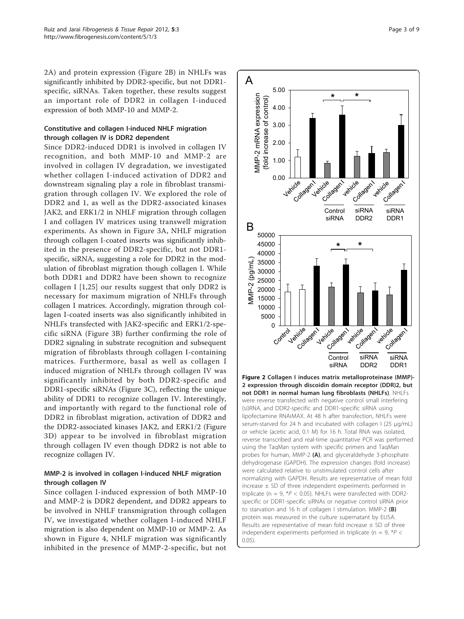2A) and protein expression (Figure 2B) in NHLFs was significantly inhibited by DDR2-specific, but not DDR1 specific, siRNAs. Taken together, these results suggest an important role of DDR2 in collagen I-induced expression of both MMP-10 and MMP-2.

# Constitutive and collagen I-induced NHLF migration through collagen IV is DDR2 dependent

Since DDR2-induced DDR1 is involved in collagen IV recognition, and both MMP-10 and MMP-2 are involved in collagen IV degradation, we investigated whether collagen I-induced activation of DDR2 and downstream signaling play a role in fibroblast transmigration through collagen IV. We explored the role of DDR2 and 1, as well as the DDR2-associated kinases JAK2, and ERK1/2 in NHLF migration through collagen I and collagen IV matrices using transwell migration experiments. As shown in Figure [3A,](#page-3-0) NHLF migration through collagen I-coated inserts was significantly inhibited in the presence of DDR2-specific, but not DDR1 specific, siRNA, suggesting a role for DDR2 in the modulation of fibroblast migration though collagen I. While both DDR1 and DDR2 have been shown to recognize collagen I [[1](#page-7-0),[25\]](#page-8-0) our results suggest that only DDR2 is necessary for maximum migration of NHLFs through collagen I matrices. Accordingly, migration through collagen I-coated inserts was also significantly inhibited in NHLFs transfected with JAK2-specific and ERK1/2-specific siRNA (Figure [3B](#page-3-0)) further confirming the role of DDR2 signaling in substrate recognition and subsequent migration of fibroblasts through collagen I-containing matrices. Furthermore, basal as well as collagen I induced migration of NHLFs through collagen IV was significantly inhibited by both DDR2-specific and DDR1-specific siRNAs (Figure [3C](#page-3-0)), reflecting the unique ability of DDR1 to recognize collagen IV. Interestingly, and importantly with regard to the functional role of DDR2 in fibroblast migration, activation of DDR2 and the DDR2-associated kinases JAK2, and ERK1/2 (Figure [3D\)](#page-3-0) appear to be involved in fibroblast migration through collagen IV even though DDR2 is not able to recognize collagen IV.

# MMP-2 is involved in collagen I-induced NHLF migration through collagen IV

Since collagen I-induced expression of both MMP-10 and MMP-2 is DDR2 dependent, and DDR2 appears to be involved in NHLF transmigration through collagen IV, we investigated whether collagen I-induced NHLF migration is also dependent on MMP-10 or MMP-2. As shown in Figure [4,](#page-4-0) NHLF migration was significantly inhibited in the presence of MMP-2-specific, but not



not DDR1 in normal human lung fibroblasts (NHLFs). NHLFs were reverse transfected with negative control small interfering (si)RNA, and DDR2-specific and DDR1-specific siRNA using lipofectamine RNAiMAX. At 48 h after transfection, NHLFs were serum-starved for 24 h and incubated with collagen I (25 μg/mL) or vehicle (acetic acid, 0.1 M) for 16 h. Total RNA was isolated, reverse transcribed and real-time quantitative PCR was performed using the TaqMan system with specific primers and TaqMan probes for human, MMP-2 (A), and glyceraldehyde 3-phosphate dehydrogenase (GAPDH). The expression changes (fold increase) were calculated relative to unstimulated control cells after normalizing with GAPDH. Results are representative of mean fold increase  $\pm$  SD of three independent experiments performed in triplicate (n = 9,  $*P$  < 0.05). NHLFs were transfected with DDR2specific or DDR1-specific siRNAs or negative control siRNA prior to starvation and 16 h of collagen I stimulation. MMP-2 (B) protein was measured in the culture supernatant by ELISA. Results are representative of mean fold increase  $\pm$  SD of three independent experiments performed in triplicate ( $n = 9$ , \* $P <$  $(0.05)$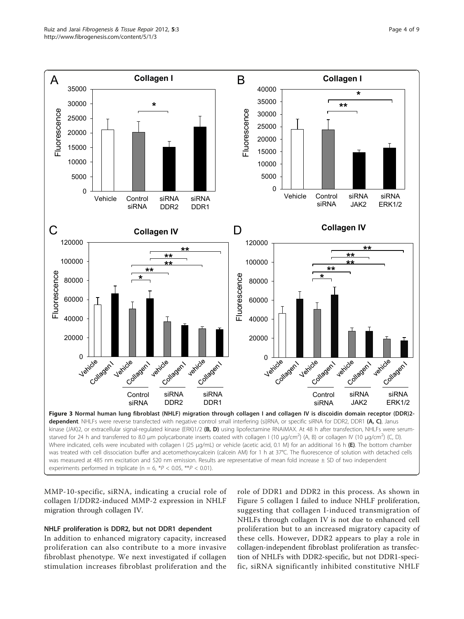<span id="page-3-0"></span>

MMP-10-specific, siRNA, indicating a crucial role of collagen I/DDR2-induced MMP-2 expression in NHLF migration through collagen IV.

# NHLF proliferation is DDR2, but not DDR1 dependent

In addition to enhanced migratory capacity, increased proliferation can also contribute to a more invasive fibroblast phenotype. We next investigated if collagen stimulation increases fibroblast proliferation and the

role of DDR1 and DDR2 in this process. As shown in Figure [5](#page-4-0) collagen I failed to induce NHLF proliferation, suggesting that collagen I-induced transmigration of NHLFs through collagen IV is not due to enhanced cell proliferation but to an increased migratory capacity of these cells. However, DDR2 appears to play a role in collagen-independent fibroblast proliferation as transfection of NHLFs with DDR2-specific, but not DDR1-specific, siRNA significantly inhibited constitutive NHLF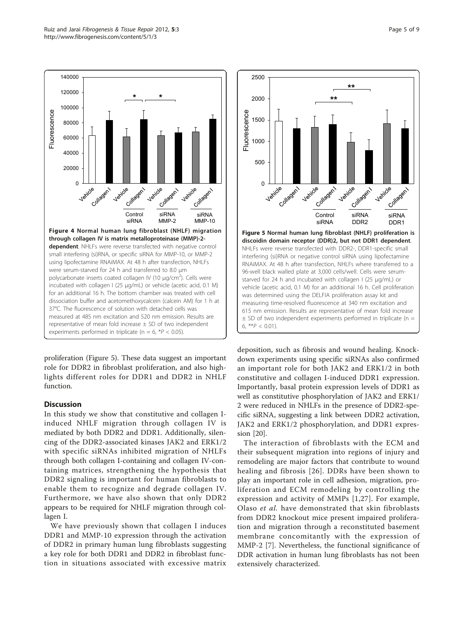proliferation (Figure 5). These data suggest an important role for DDR2 in fibroblast proliferation, and also highlights different roles for DDR1 and DDR2 in NHLF function.

### **Discussion**

In this study we show that constitutive and collagen Iinduced NHLF migration through collagen IV is mediated by both DDR2 and DDR1. Additionally, silencing of the DDR2-associated kinases JAK2 and ERK1/2 with specific siRNAs inhibited migration of NHLFs through both collagen I-containing and collagen IV-containing matrices, strengthening the hypothesis that DDR2 signaling is important for human fibroblasts to enable them to recognize and degrade collagen IV. Furthermore, we have also shown that only DDR2 appears to be required for NHLF migration through collagen I.

We have previously shown that collagen I induces DDR1 and MMP-10 expression through the activation of DDR2 in primary human lung fibroblasts suggesting a key role for both DDR1 and DDR2 in fibroblast function in situations associated with excessive matrix



The interaction of fibroblasts with the ECM and their subsequent migration into regions of injury and remodeling are major factors that contribute to wound healing and fibrosis [[26](#page-8-0)]. DDRs have been shown to play an important role in cell adhesion, migration, proliferation and ECM remodeling by controlling the expression and activity of MMPs [\[1,](#page-7-0)[27](#page-8-0)]. For example, Olaso et al. have demonstrated that skin fibroblasts from DDR2 knockout mice present impaired proliferation and migration through a reconstituted basement membrane concomitantly with the expression of MMP-2 [[7\]](#page-7-0). Nevertheless, the functional significance of DDR activation in human lung fibroblasts has not been extensively characterized.

<span id="page-4-0"></span>

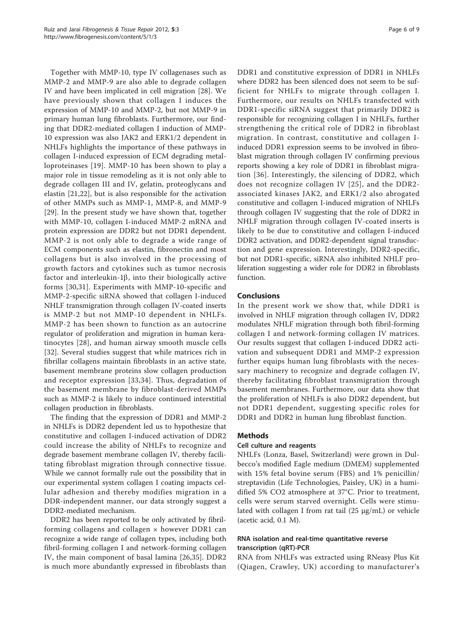Together with MMP-10, type IV collagenases such as MMP-2 and MMP-9 are also able to degrade collagen IV and have been implicated in cell migration [\[28](#page-8-0)]. We have previously shown that collagen I induces the expression of MMP-10 and MMP-2, but not MMP-9 in primary human lung fibroblasts. Furthermore, our finding that DDR2-mediated collagen I induction of MMP-10 expression was also JAK2 and ERK1/2 dependent in NHLFs highlights the importance of these pathways in collagen I-induced expression of ECM degrading metalloproteinases [[19\]](#page-7-0). MMP-10 has been shown to play a major role in tissue remodeling as it is not only able to degrade collagen III and IV, gelatin, proteoglycans and elastin [\[21,22](#page-7-0)], but is also responsible for the activation of other MMPs such as MMP-1, MMP-8, and MMP-9 [[29\]](#page-8-0). In the present study we have shown that, together with MMP-10, collagen I-induced MMP-2 mRNA and protein expression are DDR2 but not DDR1 dependent. MMP-2 is not only able to degrade a wide range of ECM components such as elastin, fibronectin and most collagens but is also involved in the processing of growth factors and cytokines such as tumor necrosis factor and interleukin-1 $\beta$ , into their biologically active forms [[30,31\]](#page-8-0). Experiments with MMP-10-specific and MMP-2-specific siRNA showed that collagen I-induced NHLF transmigration through collagen IV-coated inserts is MMP-2 but not MMP-10 dependent in NHLFs. MMP-2 has been shown to function as an autocrine regulator of proliferation and migration in human keratinocytes [[28\]](#page-8-0), and human airway smooth muscle cells [[32](#page-8-0)]. Several studies suggest that while matrices rich in fibrillar collagens maintain fibroblasts in an active state, basement membrane proteins slow collagen production and receptor expression [[33](#page-8-0),[34\]](#page-8-0). Thus, degradation of the basement membrane by fibroblast-derived MMPs such as MMP-2 is likely to induce continued interstitial collagen production in fibroblasts.

The finding that the expression of DDR1 and MMP-2 in NHLFs is DDR2 dependent led us to hypothesize that constitutive and collagen I-induced activation of DDR2 could increase the ability of NHLFs to recognize and degrade basement membrane collagen IV, thereby facilitating fibroblast migration through connective tissue. While we cannot formally rule out the possibility that in our experimental system collagen I coating impacts cellular adhesion and thereby modifies migration in a DDR-independent manner, our data strongly suggest a DDR2-mediated mechanism.

DDR2 has been reported to be only activated by fibrilforming collagens and collagen  $\times$  however DDR1 can recognize a wide range of collagen types, including both fibril-forming collagen I and network-forming collagen IV, the main component of basal lamina [[26,35](#page-8-0)]. DDR2 is much more abundantly expressed in fibroblasts than DDR1 and constitutive expression of DDR1 in NHLFs where DDR2 has been silenced does not seem to be sufficient for NHLFs to migrate through collagen I. Furthermore, our results on NHLFs transfected with DDR1-specific siRNA suggest that primarily DDR2 is responsible for recognizing collagen I in NHLFs, further strengthening the critical role of DDR2 in fibroblast migration. In contrast, constitutive and collagen Iinduced DDR1 expression seems to be involved in fibroblast migration through collagen IV confirming previous reports showing a key role of DDR1 in fibroblast migration [[36](#page-8-0)]. Interestingly, the silencing of DDR2, which does not recognize collagen IV [[25](#page-8-0)], and the DDR2 associated kinases JAK2, and ERK1/2 also abrogated constitutive and collagen I-induced migration of NHLFs through collagen IV suggesting that the role of DDR2 in NHLF migration through collagen IV-coated inserts is likely to be due to constitutive and collagen I-induced DDR2 activation, and DDR2-dependent signal transduction and gene expression. Interestingly, DDR2-specific, but not DDR1-specific, siRNA also inhibited NHLF proliferation suggesting a wider role for DDR2 in fibroblasts function.

### Conclusions

In the present work we show that, while DDR1 is involved in NHLF migration through collagen IV, DDR2 modulates NHLF migration through both fibril-forming collagen I and network-forming collagen IV matrices. Our results suggest that collagen I-induced DDR2 activation and subsequent DDR1 and MMP-2 expression further equips human lung fibroblasts with the necessary machinery to recognize and degrade collagen IV, thereby facilitating fibroblast transmigration through basement membranes. Furthermore, our data show that the proliferation of NHLFs is also DDR2 dependent, but not DDR1 dependent, suggesting specific roles for DDR1 and DDR2 in human lung fibroblast function.

### Methods

### Cell culture and reagents

NHLFs (Lonza, Basel, Switzerland) were grown in Dulbecco's modified Eagle medium (DMEM) supplemented with 15% fetal bovine serum (FBS) and 1% penicillin/ streptavidin (Life Technologies, Paisley, UK) in a humidified 5% CO2 atmosphere at 37°C. Prior to treatment, cells were serum starved overnight. Cells were stimulated with collagen I from rat tail (25 μg/mL) or vehicle (acetic acid, 0.1 M).

# RNA isolation and real-time quantitative reverse transcription (qRT)-PCR

RNA from NHLFs was extracted using RNeasy Plus Kit (Qiagen, Crawley, UK) according to manufacturer's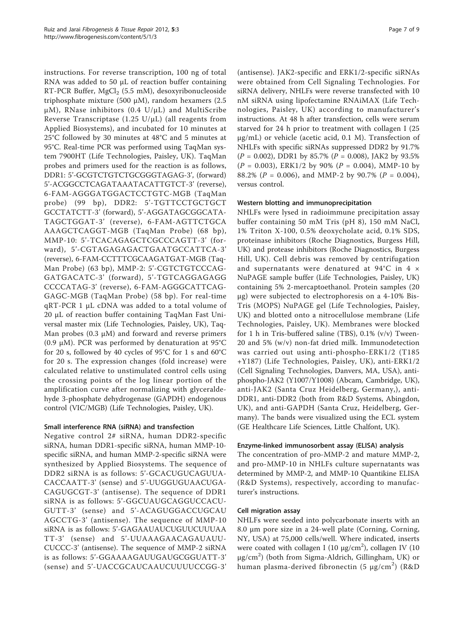instructions. For reverse transcription, 100 ng of total RNA was added to 50 μL of reaction buffer containing RT-PCR Buffer, MgCl<sub>2</sub> (5.5 mM), desoxyribonucleoside triphosphate mixture (500 μM), random hexamers (2.5  $\mu$ M), RNase inhibitors (0.4 U/ $\mu$ L) and MultiScribe Reverse Transcriptase (1.25 U/ $\mu$ L) (all reagents from Applied Biosystems), and incubated for 10 minutes at 25°C followed by 30 minutes at 48°C and 5 minutes at 95°C. Real-time PCR was performed using TaqMan system 7900HT (Life Technologies, Paisley, UK). TaqMan probes and primers used for the reaction is as follows, DDR1: 5'-GCGTCTGTCTGCGGGTAGAG-3', (forward) 5'-ACGGCCTCAGATAAATACATTGTCT-3' (reverse), 6-FAM-AGGGATGGACTCCTGTC-MGB (TaqMan probe) (99 bp), DDR2: 5'-TGTTCCTGCTGCT GCCTATCTT-3' (forward), 5'-AGGATAGCGGCATA-TAGCTGGAT-3' (reverse), 6-FAM-AGTTCTGCA AAAGCTCAGGT-MGB (TaqMan Probe) (68 bp), MMP-10: 5'-TCACAGAGCTCGCCCAGTT-3' (forward), 5'-CGTAGAGAGACTGAATGCCATTCA-3' (reverse), 6-FAM-CCTTTCGCAAGATGAT-MGB (Taq-Man Probe) (63 bp), MMP-2: 5'-CGTCTGTCCCAG-GATGACATC-3' (forward), 5'-TGTCAGGAGAGG CCCCATAG-3' (reverse), 6-FAM-AGGGCATTCAG-GAGC-MGB (TaqMan Probe) (58 bp). For real-time qRT-PCR 1 μL cDNA was added to a total volume of 20 μL of reaction buffer containing TaqMan Fast Universal master mix (Life Technologies, Paisley, UK), Taq-Man probes  $(0.3 \mu M)$  and forward and reverse primers (0.9 μM). PCR was performed by denaturation at 95°C for 20 s, followed by 40 cycles of 95°C for 1 s and 60°C for 20 s. The expression changes (fold increase) were calculated relative to unstimulated control cells using the crossing points of the log linear portion of the amplification curve after normalizing with glyceraldehyde 3-phosphate dehydrogenase (GAPDH) endogenous control (VIC/MGB) (Life Technologies, Paisley, UK).

### Small interference RNA (siRNA) and transfection

Negative control 2# siRNA, human DDR2-specific siRNA, human DDR1-specific siRNA, human MMP-10 specific siRNA, and human MMP-2-specific siRNA were synthesized by Applied Biosystems. The sequence of DDR2 siRNA is as follows: 5'-GCACUGUCAGUUA-CACCAATT-3' (sense) and 5'-UUGGUGUAACUGA-CAGUGCGT-3' (antisense). The sequence of DDR1 siRNA is as follows: 5'-GGCUAUGCAGGUCCACU-GUTT-3' (sense) and 5'-ACAGUGGACCUGCAU AGCCTG-3' (antisense). The sequence of MMP-10 siRNA is as follows: 5'-GAGAAUAUCUGUUCUUUAA TT-3' (sense) and 5'-UUAAAGAACAGAUAUU-CUCCC-3' (antisense). The sequence of MMP-2 siRNA is as follows: 5'-GGAAAAGAUUGAUGCGGUATT-3' (sense) and 5'-UACCGCAUCAAUCUUUUCCGG-3'

(antisense). JAK2-specific and ERK1/2-specific siRNAs were obtained from Cell Signaling Technologies. For siRNA delivery, NHLFs were reverse transfected with 10 nM siRNA using lipofectamine RNAiMAX (Life Technologies, Paisley, UK) according to manufacturer's instructions. At 48 h after transfection, cells were serum starved for 24 h prior to treatment with collagen I (25 μg/mL) or vehicle (acetic acid, 0.1 M). Transfection of NHLFs with specific siRNAs suppressed DDR2 by 91.7%  $(P = 0.002)$ , DDR1 by 85.7%  $(P = 0.008)$ , JAK2 by 93.5%  $(P = 0.003)$ , ERK1/2 by 90%  $(P = 0.004)$ , MMP-10 by 88.2% ( $P = 0.006$ ), and MMP-2 by 90.7% ( $P = 0.004$ ), versus control.

### Western blotting and immunoprecipitation

NHLFs were lysed in radioimmune precipitation assay buffer containing 50 mM Tris (pH 8), 150 mM NaCl, 1% Triton X-100, 0.5% deoxycholate acid, 0.1% SDS, proteinase inhibitors (Roche Diagnostics, Burgess Hill, UK) and protease inhibitors (Roche Diagnostics, Burgess Hill, UK). Cell debris was removed by centrifugation and supernatants were denatured at 94°C in 4 × NuPAGE sample buffer (Life Technologies, Paisley, UK) containing 5% 2-mercaptoethanol. Protein samples (20 μg) were subjected to electrophoresis on a 4-10% Bis-Tris (MOPS) NuPAGE gel (Life Technologies, Paisley, UK) and blotted onto a nitrocellulose membrane (Life Technologies, Paisley, UK). Membranes were blocked for 1 h in Tris-buffered saline (TBS), 0.1% (v/v) Tween-20 and 5% (w/v) non-fat dried milk. Immunodetection was carried out using anti-phospho-ERK1/2 (T185 +Y187) (Life Technologies, Paisley, UK), anti-ERK1/2 (Cell Signaling Technologies, Danvers, MA, USA), antiphospho-JAK2 (Y1007/Y1008) (Abcam, Cambridge, UK), anti-JAK2 (Santa Cruz Heidelberg, Germany,), anti-DDR1, anti-DDR2 (both from R&D Systems, Abingdon, UK), and anti-GAPDH (Santa Cruz, Heidelberg, Germany). The bands were visualized using the ECL system (GE Healthcare Life Sciences, Little Chalfont, UK).

### Enzyme-linked immunosorbent assay (ELISA) analysis

The concentration of pro-MMP-2 and mature MMP-2, and pro-MMP-10 in NHLFs culture supernatants was determined by MMP-2, and MMP-10 Quantikine ELISA (R&D Systems), respectively, according to manufacturer's instructions.

### Cell migration assay

NHLFs were seeded into polycarbonate inserts with an 8.0 μm pore size in a 24-well plate (Corning, Corning, NY, USA) at 75,000 cells/well. Where indicated, inserts were coated with collagen I (10  $\mu$ g/cm<sup>2</sup>), collagen IV (10 μg/cm<sup>2</sup> ) (both from Sigma-Aldrich, Gillingham, UK) or human plasma-derived fibronectin (5 μg/cm<sup>2</sup> ) (R&D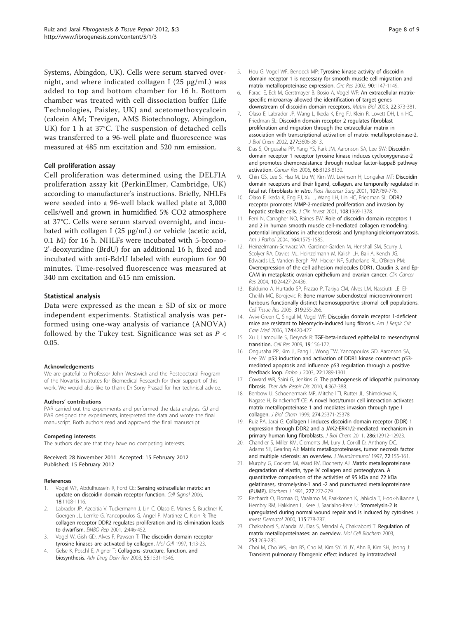<span id="page-7-0"></span>Systems, Abingdon, UK). Cells were serum starved overnight, and where indicated collagen I (25 μg/mL) was added to top and bottom chamber for 16 h. Bottom chamber was treated with cell dissociation buffer (Life Technologies, Paisley, UK) and acetomethoxycalcein (calcein AM; Trevigen, AMS Biotechnology, Abingdon, UK) for 1 h at 37°C. The suspension of detached cells was transferred to a 96-well plate and fluorescence was measured at 485 nm excitation and 520 nm emission.

#### Cell proliferation assay

Cell proliferation was determined using the DELFIA proliferation assay kit (PerkinElmer, Cambridge, UK) according to manufacturer's instructions. Briefly, NHLFs were seeded into a 96-well black walled plate at 3,000 cells/well and grown in humidified 5% CO2 atmosphere at 37°C. Cells were serum starved overnight, and incubated with collagen I (25 μg/mL) or vehicle (acetic acid, 0.1 M) for 16 h. NHLFs were incubated with 5-bromo-2'-deoxyuridine (BrdU) for an additional 16 h, fixed and incubated with anti-BdrU labeled with europium for 90 minutes. Time-resolved fluorescence was measured at 340 nm excitation and 615 nm emission.

#### Statistical analysis

Data were expressed as the mean  $\pm$  SD of six or more independent experiments. Statistical analysis was performed using one-way analysis of variance (ANOVA) followed by the Tukey test. Significance was set as  $P \lt \mathbb{R}$ 0.05.

#### Acknowledgements

We are grateful to Professor John Westwick and the Postdoctoral Program of the Novartis Institutes for Biomedical Research for their support of this work. We would also like to thank Dr Sony Prasad for her technical advice.

#### Authors' contributions

PAR carried out the experiments and performed the data analysis. GJ and PAR designed the experiments, interpreted the data and wrote the final manuscript. Both authors read and approved the final manuscript.

#### Competing interests

The authors declare that they have no competing interests.

#### Received: 28 November 2011 Accepted: 15 February 2012 Published: 15 February 2012

#### References

- 1. Vogel WF, Abdulhussein R, Ford CE: [Sensing extracellular matrix: an](http://www.ncbi.nlm.nih.gov/pubmed/16626936?dopt=Abstract) [update on discoidin domain receptor function.](http://www.ncbi.nlm.nih.gov/pubmed/16626936?dopt=Abstract) Cell Signal 2006, 18:1108-1116.
- Labrador JP, Azcoitia V, Tuckermann J, Lin C, Olaso E, Manes S, Bruckner K, Goergen JL, Lemke G, Yancopoulos G, Angel P, Martinez C, Klein R: [The](http://www.ncbi.nlm.nih.gov/pubmed/11375938?dopt=Abstract) [collagen receptor DDR2 regulates proliferation and its elimination leads](http://www.ncbi.nlm.nih.gov/pubmed/11375938?dopt=Abstract) [to dwarfism.](http://www.ncbi.nlm.nih.gov/pubmed/11375938?dopt=Abstract) EMBO Rep 2001, 2:446-452.
- 3. Vogel W, Gish GD, Alves F, Pawson T: [The discoidin domain receptor](http://www.ncbi.nlm.nih.gov/pubmed/9659899?dopt=Abstract) [tyrosine kinases are activated by collagen.](http://www.ncbi.nlm.nih.gov/pubmed/9659899?dopt=Abstract) Mol Cell 1997, 1:13-23.
- Gelse K, Poschl E, Aigner T: Collagens-[structure, function, and](http://www.ncbi.nlm.nih.gov/pubmed/14623400?dopt=Abstract) [biosynthesis.](http://www.ncbi.nlm.nih.gov/pubmed/14623400?dopt=Abstract) Adv Drug Deliv Rev 2003, 55:1531-1546.
- 5. Hou G, Vogel WF, Bendeck MP: [Tyrosine kinase activity of discoidin](http://www.ncbi.nlm.nih.gov/pubmed/12065315?dopt=Abstract) [domain receptor 1 is necessary for smooth muscle cell migration and](http://www.ncbi.nlm.nih.gov/pubmed/12065315?dopt=Abstract) [matrix metalloproteinase expression.](http://www.ncbi.nlm.nih.gov/pubmed/12065315?dopt=Abstract) Circ Res 2002, 90:1147-1149.
- 6. Faraci E, Eck M, Gerstmayer B, Bosio A, Vogel WF: [An extracellular matrix](http://www.ncbi.nlm.nih.gov/pubmed/12935821?dopt=Abstract)[specific microarray allowed the identification of target genes](http://www.ncbi.nlm.nih.gov/pubmed/12935821?dopt=Abstract) [downstream of discoidin domain receptors.](http://www.ncbi.nlm.nih.gov/pubmed/12935821?dopt=Abstract) Matrix Biol 2003, 22:373-381.
- 7. Olaso E, Labrador JP, Wang L, Ikeda K, Eng FJ, Klein R, Lovett DH, Lin HC, Friedman SL: [Discoidin domain receptor 2 regulates fibroblast](http://www.ncbi.nlm.nih.gov/pubmed/11723120?dopt=Abstract) [proliferation and migration through the extracellular matrix in](http://www.ncbi.nlm.nih.gov/pubmed/11723120?dopt=Abstract) [association with transcriptional activation of matrix metalloproteinase-2.](http://www.ncbi.nlm.nih.gov/pubmed/11723120?dopt=Abstract) J Biol Chem 2002, 277:3606-3613.
- 8. Das S, Ongusaha PP, Yang YS, Park JM, Aaronson SA, Lee SW: [Discoidin](http://www.ncbi.nlm.nih.gov/pubmed/16912190?dopt=Abstract) [domain receptor 1 receptor tyrosine kinase induces cyclooxygenase-2](http://www.ncbi.nlm.nih.gov/pubmed/16912190?dopt=Abstract) [and promotes chemoresistance through nuclear factor-kappaB pathway](http://www.ncbi.nlm.nih.gov/pubmed/16912190?dopt=Abstract) [activation.](http://www.ncbi.nlm.nih.gov/pubmed/16912190?dopt=Abstract) Cancer Res 2006, 66:8123-8130.
- 9. Chin GS, Lee S, Hsu M, Liu W, Kim WJ, Levinson H, Longaker MT: [Discoidin](http://www.ncbi.nlm.nih.gov/pubmed/11304604?dopt=Abstract) [domain receptors and their ligand, collagen, are temporally regulated in](http://www.ncbi.nlm.nih.gov/pubmed/11304604?dopt=Abstract) [fetal rat fibroblasts](http://www.ncbi.nlm.nih.gov/pubmed/11304604?dopt=Abstract) in vitro. Plast Reconstr Surg 2001, <sup>107</sup>:769-776.
- 10. Olaso E, Ikeda K, Eng FJ, Xu L, Wang LH, Lin HC, Friedman SL: [DDR2](http://www.ncbi.nlm.nih.gov/pubmed/11696582?dopt=Abstract) [receptor promotes MMP-2-mediated proliferation and invasion by](http://www.ncbi.nlm.nih.gov/pubmed/11696582?dopt=Abstract) [hepatic stellate cells.](http://www.ncbi.nlm.nih.gov/pubmed/11696582?dopt=Abstract) J Clin Invest 2001, 108:1369-1378.
- 11. Ferri N, Carragher NO, Raines EW: [Role of discoidin domain receptors 1](http://www.ncbi.nlm.nih.gov/pubmed/15111304?dopt=Abstract) [and 2 in human smooth muscle cell-mediated collagen remodeling:](http://www.ncbi.nlm.nih.gov/pubmed/15111304?dopt=Abstract) [potential implications in atherosclerosis and lymphangioleiomyomatosis.](http://www.ncbi.nlm.nih.gov/pubmed/15111304?dopt=Abstract) Am J Pathol 2004, 164:1575-1585.
- 12. Heinzelmann-Schwarz VA, Gardiner-Garden M, Henshall SM, Scurry J, Scolyer RA, Davies MJ, Heinzelmann M, Kalish LH, Bali A, Kench JG, Edwards LS, Vanden Bergh PM, Hacker NF, Sutherland RL, O'Brien PM: Overexpression of the cell adhesion molecules DDR1, Claudin 3, and Ep-CAM in metaplastic ovarian epithelium and ovarian cancer. Clin Cancer Res 2004, 10:24427-24436.
- 13. Balduino A, Hurtado SP, Frazao P, Takiya CM, Alves LM, Nasciutti LE, El-Cheikh MC, Borojevic R: [Bone marrow subendosteal microenvironment](http://www.ncbi.nlm.nih.gov/pubmed/15578225?dopt=Abstract) [harbours functionally distinct haemosupportive stromal cell populations.](http://www.ncbi.nlm.nih.gov/pubmed/15578225?dopt=Abstract) Cell Tissue Res 2005, 319:255-266.
- 14. Avivi-Green C, Singal M, Vogel WF: Discoidin [domain receptor 1-deficient](http://www.ncbi.nlm.nih.gov/pubmed/16690978?dopt=Abstract) [mice are resistant to bleomycin-induced lung fibrosis.](http://www.ncbi.nlm.nih.gov/pubmed/16690978?dopt=Abstract) Am J Respir Crit Care Med 2006, 174:420-427.
- 15. Xu J, Lamouille S, Derynck R: [TGF-beta-induced epithelial to mesenchymal](http://www.ncbi.nlm.nih.gov/pubmed/19153598?dopt=Abstract) [transition.](http://www.ncbi.nlm.nih.gov/pubmed/19153598?dopt=Abstract) Cell Res 2009, 19:156-172.
- 16. Ongusaha PP, Kim JI, Fang L, Wong TW, Yancopoulos GD, Aaronson SA, Lee SW: [p53 induction and activation of DDR1 kinase counteract p53](http://www.ncbi.nlm.nih.gov/pubmed/12628922?dopt=Abstract) [mediated apoptosis and influence p53 regulation through a positive](http://www.ncbi.nlm.nih.gov/pubmed/12628922?dopt=Abstract) [feedback loop.](http://www.ncbi.nlm.nih.gov/pubmed/12628922?dopt=Abstract) Embo J 2003, 22:1289-1301.
- 17. Coward WR, Saini G, Jenkins G: [The pathogenesis of idiopathic pulmonary](http://www.ncbi.nlm.nih.gov/pubmed/20952439?dopt=Abstract) [fibrosis.](http://www.ncbi.nlm.nih.gov/pubmed/20952439?dopt=Abstract) Ther Adv Respir Dis 2010, 4:367-388.
- 18. Benbow U, Schoenermark MP, Mitchell TI, Rutter JL, Shimokawa K, Nagase H, Brinckerhoff CE: [A novel host/tumor cell interaction activates](http://www.ncbi.nlm.nih.gov/pubmed/10464264?dopt=Abstract) [matrix metalloproteinase 1 and mediates invasion through type I](http://www.ncbi.nlm.nih.gov/pubmed/10464264?dopt=Abstract) [collagen.](http://www.ncbi.nlm.nih.gov/pubmed/10464264?dopt=Abstract) J Biol Chem 1999, 274:25371-25378.
- 19. Ruiz PA, Jarai G: [Collagen I induces discoidin domain receptor \(DDR\) 1](http://www.ncbi.nlm.nih.gov/pubmed/21335558?dopt=Abstract) [expression through DDR2 and a JAK2-ERK1/2-mediated mechanism in](http://www.ncbi.nlm.nih.gov/pubmed/21335558?dopt=Abstract) [primary human lung fibroblasts.](http://www.ncbi.nlm.nih.gov/pubmed/21335558?dopt=Abstract) J Biol Chem 2011, 286:12912-12923.
- 20. Chandler S, Miller KM, Clements JM, Lury J, Corkill D, Anthony DC, Adams SE, Gearing AJ: [Matrix metalloproteinases, tumor necrosis factor](http://www.ncbi.nlm.nih.gov/pubmed/9042108?dopt=Abstract) [and multiple sclerosis: an overview.](http://www.ncbi.nlm.nih.gov/pubmed/9042108?dopt=Abstract) J Neuroimmunol 1997, 72:155-161.
- 21. Murphy G, Cockett MI, Ward RV, Docherty AJ: [Matrix metalloproteinase](http://www.ncbi.nlm.nih.gov/pubmed/1649600?dopt=Abstract) [degradation of elastin, type IV collagen and proteoglycan. A](http://www.ncbi.nlm.nih.gov/pubmed/1649600?dopt=Abstract) [quantitative comparison of the activities of 95 kDa and 72 kDa](http://www.ncbi.nlm.nih.gov/pubmed/1649600?dopt=Abstract) [gelatinases, stromelysins-1 and -2 and punctuated metalloproteinase](http://www.ncbi.nlm.nih.gov/pubmed/1649600?dopt=Abstract) [\(PUMP\).](http://www.ncbi.nlm.nih.gov/pubmed/1649600?dopt=Abstract) Biochem J 1991, 277:277-279.
- 22. Rechardt O, Elomaa O, Vaalamo M, Paakkonen K, Jahkola T, Hook-Nikanne J, Hembry RM, Hakkinen L, Kere J, Saarialho-Kere U: [Stromelysin-2 is](http://www.ncbi.nlm.nih.gov/pubmed/11069614?dopt=Abstract) [upregulated during normal wound repair and is induced by cytokines.](http://www.ncbi.nlm.nih.gov/pubmed/11069614?dopt=Abstract) J Invest Dermatol 2000, 115:778-787.
- 23. Chakraborti S, Mandal M, Das S, Mandal A, Chakraborti T: [Regulation of](http://www.ncbi.nlm.nih.gov/pubmed/14619979?dopt=Abstract) [matrix metalloproteinases: an overview.](http://www.ncbi.nlm.nih.gov/pubmed/14619979?dopt=Abstract) Mol Cell Biochem 2003, 253:269-285.
- 24. Choi M, Cho WS, Han BS, Cho M, Kim SY, Yi JY, Ahn B, Kim SH, Jeong J: [Transient pulmonary fibrogenic effect induced by intratracheal](http://www.ncbi.nlm.nih.gov/pubmed/18835341?dopt=Abstract)